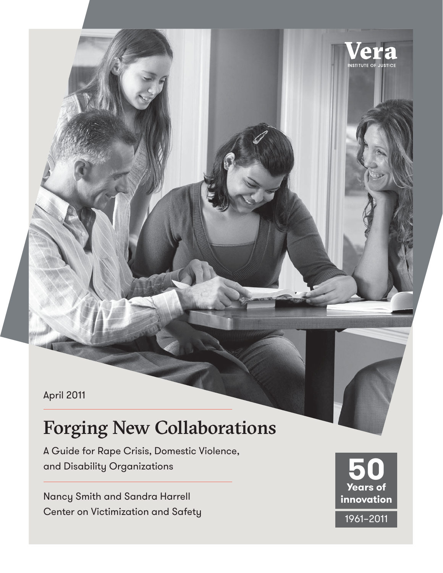April 2011

# Forging New Collaborations

A Guide for Rape Crisis, Domestic Violence, and Disability Organizations

Nancy Smith and Sandra Harrell Center on Victimization and Safety



**INSTITUTE OF**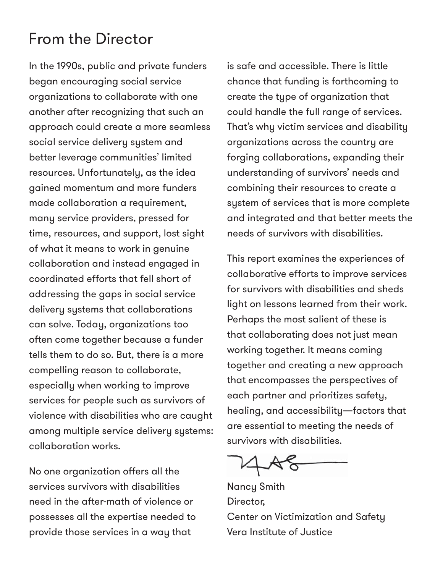#### From the Director

In the 1990s, public and private funders began encouraging social service organizations to collaborate with one another after recognizing that such an approach could create a more seamless social service delivery system and better leverage communities' limited resources. Unfortunately, as the idea gained momentum and more funders made collaboration a requirement, many service providers, pressed for time, resources, and support, lost sight of what it means to work in genuine collaboration and instead engaged in coordinated efforts that fell short of addressing the gaps in social service delivery systems that collaborations can solve. Today, organizations too often come together because a funder tells them to do so. But, there is a more compelling reason to collaborate, especially when working to improve services for people such as survivors of violence with disabilities who are caught among multiple service delivery systems: collaboration works.

No one organization offers all the services survivors with disabilities need in the after-math of violence or possesses all the expertise needed to provide those services in a way that

is safe and accessible. There is little chance that funding is forthcoming to create the type of organization that could handle the full range of services. That's why victim services and disability organizations across the country are forging collaborations, expanding their understanding of survivors' needs and combining their resources to create a system of services that is more complete and integrated and that better meets the needs of survivors with disabilities.

This report examines the experiences of collaborative efforts to improve services for survivors with disabilities and sheds light on lessons learned from their work. Perhaps the most salient of these is that collaborating does not just mean working together. It means coming together and creating a new approach that encompasses the perspectives of each partner and prioritizes safety, healing, and accessibility—factors that are essential to meeting the needs of survivors with disabilities.

Nancy Smith Director, Center on Victimization and Safety Vera Institute of Justice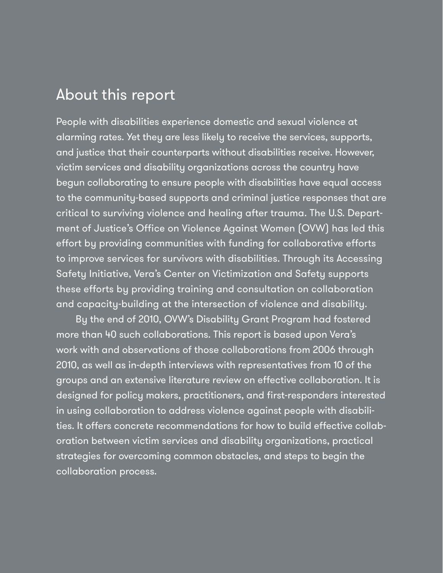#### About this report

People with disabilities experience domestic and sexual violence at alarming rates. Yet they are less likely to receive the services, supports, and justice that their counterparts without disabilities receive. However, victim services and disability organizations across the country have begun collaborating to ensure people with disabilities have equal access to the community-based supports and criminal justice responses that are critical to surviving violence and healing after trauma. The U.S. Department of Justice's Office on Violence Against Women (OVW) has led this effort by providing communities with funding for collaborative efforts to improve services for survivors with disabilities. Through its Accessing Safety Initiative, Vera's Center on Victimization and Safety supports these efforts by providing training and consultation on collaboration and capacity-building at the intersection of violence and disability.

By the end of 2010, OVW's Disability Grant Program had fostered more than 40 such collaborations. This report is based upon Vera's work with and observations of those collaborations from 2006 through 2010, as well as in-depth interviews with representatives from 10 of the groups and an extensive literature review on effective collaboration. It is designed for policy makers, practitioners, and first-responders interested in using collaboration to address violence against people with disabilities. It offers concrete recommendations for how to build effective collaboration between victim services and disability organizations, practical strategies for overcoming common obstacles, and steps to begin the collaboration process.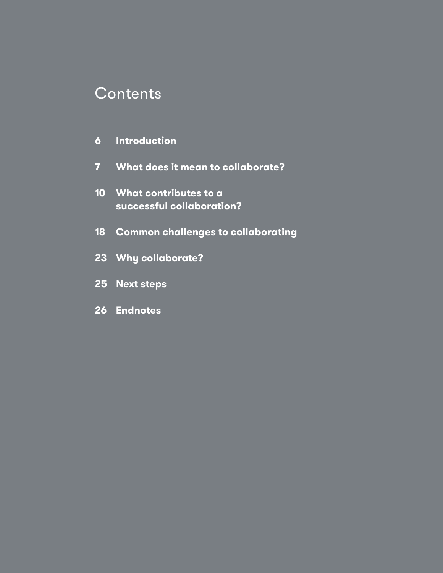#### **Contents**

- **6 Introduction**
- **7 What does it mean to collaborate?**
- **10 What contributes to a successful collaboration?**
- **18 Common challenges to collaborating**
- **23 Why collaborate?**
- **25 Next steps**
- **26 Endnotes**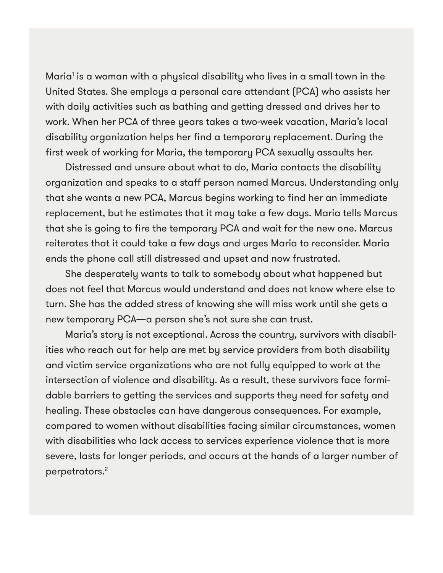Maria' is a woman with a physical disability who lives in a small town in the United States. She employs a personal care attendant (PCA) who assists her with daily activities such as bathing and getting dressed and drives her to work. When her PCA of three years takes a two-week vacation, Maria's local disability organization helps her find a temporary replacement. During the first week of working for Maria, the temporary PCA sexually assaults her.

Distressed and unsure about what to do, Maria contacts the disability organization and speaks to a staff person named Marcus. Understanding only that she wants a new PCA, Marcus begins working to find her an immediate replacement, but he estimates that it may take a few days. Maria tells Marcus that she is going to fire the temporary PCA and wait for the new one. Marcus reiterates that it could take a few days and urges Maria to reconsider. Maria ends the phone call still distressed and upset and now frustrated.

She desperately wants to talk to somebody about what happened but does not feel that Marcus would understand and does not know where else to turn. She has the added stress of knowing she will miss work until she gets a new temporary PCA—a person she's not sure she can trust.

Maria's story is not exceptional. Across the country, survivors with disabilities who reach out for help are met by service providers from both disability and victim service organizations who are not fully equipped to work at the intersection of violence and disability. As a result, these survivors face formidable barriers to getting the services and supports they need for safety and healing. These obstacles can have dangerous consequences. For example, compared to women without disabilities facing similar circumstances, women with disabilities who lack access to services experience violence that is more severe, lasts for longer periods, and occurs at the hands of a larger number of perpetrators.2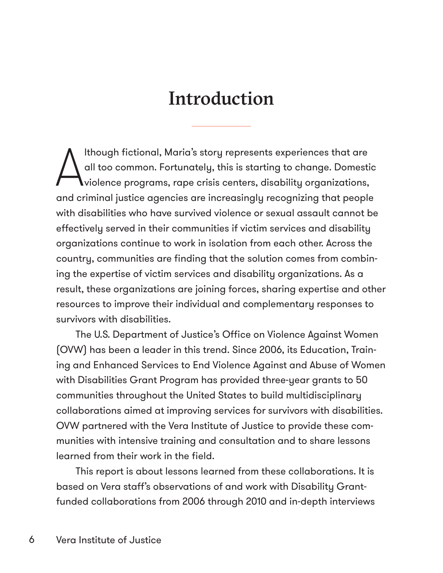# Introduction

A lthough fictional, Maria's story represents experiences that are all too common. Fortunately, this is starting to change. Domestic violence programs, rape crisis centers, disability organizations, and criminal justice agencies are increasingly recognizing that people with disabilities who have survived violence or sexual assault cannot be effectively served in their communities if victim services and disability organizations continue to work in isolation from each other. Across the country, communities are finding that the solution comes from combining the expertise of victim services and disability organizations. As a result, these organizations are joining forces, sharing expertise and other resources to improve their individual and complementary responses to survivors with disabilities.

The U.S. Department of Justice's Office on Violence Against Women (OVW) has been a leader in this trend. Since 2006, its Education, Training and Enhanced Services to End Violence Against and Abuse of Women with Disabilities Grant Program has provided three-year grants to 50 communities throughout the United States to build multidisciplinary collaborations aimed at improving services for survivors with disabilities. OVW partnered with the Vera Institute of Justice to provide these communities with intensive training and consultation and to share lessons learned from their work in the field.

This report is about lessons learned from these collaborations. It is based on Vera staff's observations of and work with Disability Grantfunded collaborations from 2006 through 2010 and in-depth interviews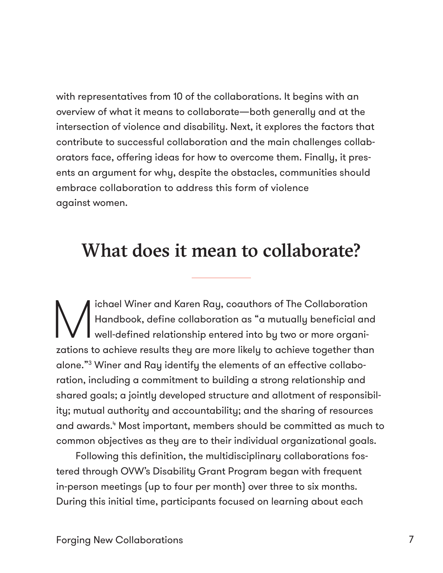with representatives from 10 of the collaborations. It begins with an overview of what it means to collaborate—both generally and at the intersection of violence and disability. Next, it explores the factors that contribute to successful collaboration and the main challenges collaborators face, offering ideas for how to overcome them. Finally, it presents an argument for why, despite the obstacles, communities should embrace collaboration to address this form of violence against women.

## What does it mean to collaborate?

Ichael Winer and Karen Ray, coauthors of The Collaboration<br>Handbook, define collaboration as "a mutually beneficial and<br>well-defined relationship entered into by two or more organi-Handbook, define collaboration as "a mutually beneficial and well-defined relationship entered into by two or more organizations to achieve results they are more likely to achieve together than alone."3 Winer and Ray identify the elements of an effective collaboration, including a commitment to building a strong relationship and shared goals; a jointly developed structure and allotment of responsibility; mutual authority and accountability; and the sharing of resources and awards.4 Most important, members should be committed as much to common objectives as they are to their individual organizational goals.

Following this definition, the multidisciplinary collaborations fostered through OVW's Disability Grant Program began with frequent in-person meetings (up to four per month) over three to six months. During this initial time, participants focused on learning about each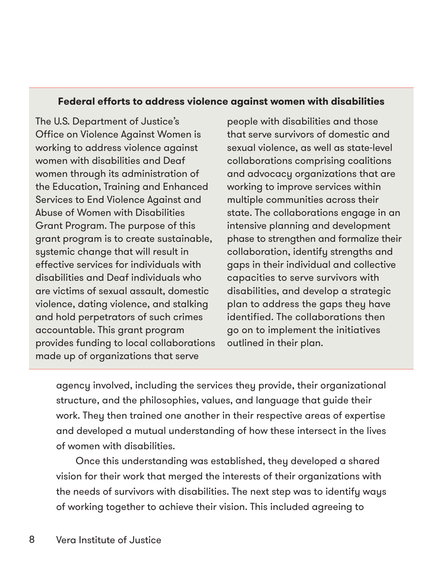#### **Federal efforts to address violence against women with disabilities**

The U.S. Department of Justice's Office on Violence Against Women is working to address violence against women with disabilities and Deaf women through its administration of the Education, Training and Enhanced Services to End Violence Against and Abuse of Women with Disabilities Grant Program. The purpose of this grant program is to create sustainable, systemic change that will result in effective services for individuals with disabilities and Deaf individuals who are victims of sexual assault, domestic violence, dating violence, and stalking and hold perpetrators of such crimes accountable. This grant program provides funding to local collaborations made up of organizations that serve

people with disabilities and those that serve survivors of domestic and sexual violence, as well as state-level collaborations comprising coalitions and advocacy organizations that are working to improve services within multiple communities across their state. The collaborations engage in an intensive planning and development phase to strengthen and formalize their collaboration, identify strengths and gaps in their individual and collective capacities to serve survivors with disabilities, and develop a strategic plan to address the gaps they have identified. The collaborations then go on to implement the initiatives outlined in their plan.

agency involved, including the services they provide, their organizational structure, and the philosophies, values, and language that guide their work. They then trained one another in their respective areas of expertise and developed a mutual understanding of how these intersect in the lives of women with disabilities.

Once this understanding was established, they developed a shared vision for their work that merged the interests of their organizations with the needs of survivors with disabilities. The next step was to identify ways of working together to achieve their vision. This included agreeing to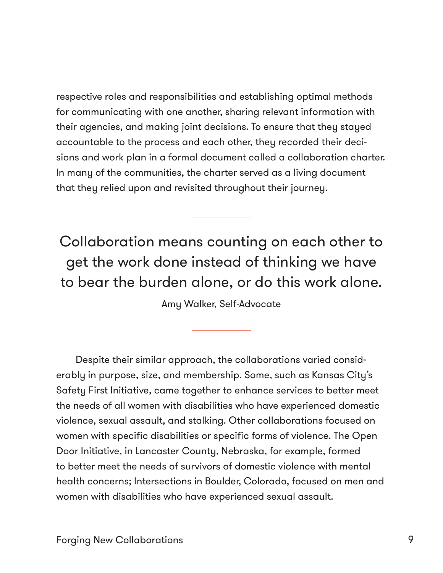respective roles and responsibilities and establishing optimal methods for communicating with one another, sharing relevant information with their agencies, and making joint decisions. To ensure that they stayed accountable to the process and each other, they recorded their decisions and work plan in a formal document called a collaboration charter. In many of the communities, the charter served as a living document that they relied upon and revisited throughout their journey.

### Collaboration means counting on each other to get the work done instead of thinking we have to bear the burden alone, or do this work alone.

Amy Walker, Self-Advocate

Despite their similar approach, the collaborations varied considerably in purpose, size, and membership. Some, such as Kansas City's Safety First Initiative, came together to enhance services to better meet the needs of all women with disabilities who have experienced domestic violence, sexual assault, and stalking. Other collaborations focused on women with specific disabilities or specific forms of violence. The Open Door Initiative, in Lancaster County, Nebraska, for example, formed to better meet the needs of survivors of domestic violence with mental health concerns; Intersections in Boulder, Colorado, focused on men and women with disabilities who have experienced sexual assault.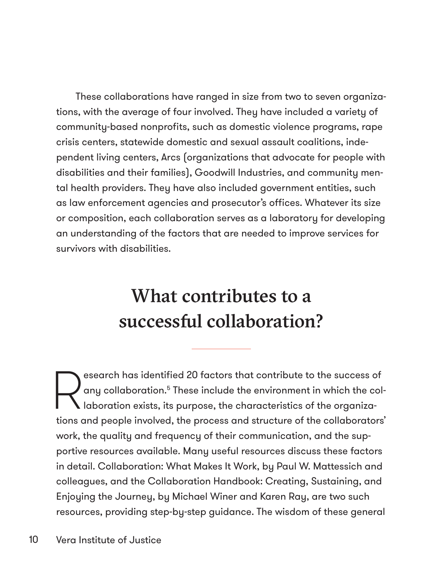These collaborations have ranged in size from two to seven organizations, with the average of four involved. They have included a variety of community-based nonprofits, such as domestic violence programs, rape crisis centers, statewide domestic and sexual assault coalitions, independent living centers, Arcs (organizations that advocate for people with disabilities and their families), Goodwill Industries, and community mental health providers. They have also included government entities, such as law enforcement agencies and prosecutor's offices. Whatever its size or composition, each collaboration serves as a laboratory for developing an understanding of the factors that are needed to improve services for survivors with disabilities.

# What contributes to a successful collaboration?

esearch has identified 20 factors that contribute to the success of<br>any collaboration.<sup>5</sup> These include the environment in which the collaboration exists, its purpose, the characteristics of the organizaany collaboration.<sup>5</sup> These include the environment in which the col- $\blacksquare$  laboration exists, its purpose, the characteristics of the organizations and people involved, the process and structure of the collaborators' work, the quality and frequency of their communication, and the supportive resources available. Many useful resources discuss these factors in detail. Collaboration: What Makes It Work, by Paul W. Mattessich and colleagues, and the Collaboration Handbook: Creating, Sustaining, and Enjoying the Journey, by Michael Winer and Karen Ray, are two such resources, providing step-by-step guidance. The wisdom of these general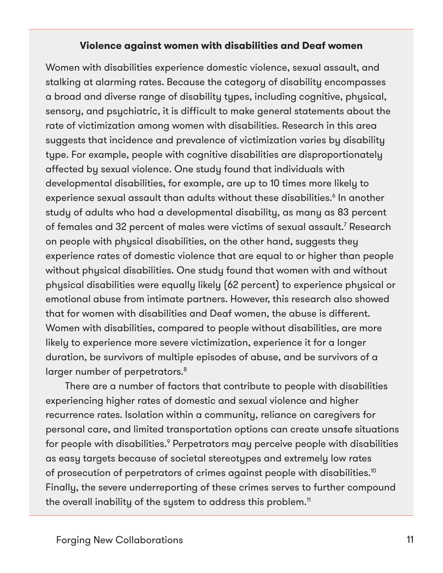#### **Violence against women with disabilities and Deaf women**

Women with disabilities experience domestic violence, sexual assault, and stalking at alarming rates. Because the category of disability encompasses a broad and diverse range of disability types, including cognitive, physical, sensory, and psychiatric, it is difficult to make general statements about the rate of victimization among women with disabilities. Research in this area suggests that incidence and prevalence of victimization varies by disability type. For example, people with cognitive disabilities are disproportionately affected by sexual violence. One study found that individuals with developmental disabilities, for example, are up to 10 times more likely to experience sexual assault than adults without these disabilities.<sup>6</sup> In another study of adults who had a developmental disability, as many as 83 percent of females and 32 percent of males were victims of sexual assault.<sup>7</sup> Research on people with physical disabilities, on the other hand, suggests they experience rates of domestic violence that are equal to or higher than people without physical disabilities. One study found that women with and without physical disabilities were equally likely (62 percent) to experience physical or emotional abuse from intimate partners. However, this research also showed that for women with disabilities and Deaf women, the abuse is different. Women with disabilities, compared to people without disabilities, are more likely to experience more severe victimization, experience it for a longer duration, be survivors of multiple episodes of abuse, and be survivors of a larger number of perpetrators.<sup>8</sup>

There are a number of factors that contribute to people with disabilities experiencing higher rates of domestic and sexual violence and higher recurrence rates. Isolation within a community, reliance on caregivers for personal care, and limited transportation options can create unsafe situations for people with disabilities. $^{\circ}$  Perpetrators may perceive people with disabilities as easy targets because of societal stereotypes and extremely low rates of prosecution of perpetrators of crimes against people with disabilities.10 Finally, the severe underreporting of these crimes serves to further compound the overall inability of the system to address this problem.<sup>11</sup>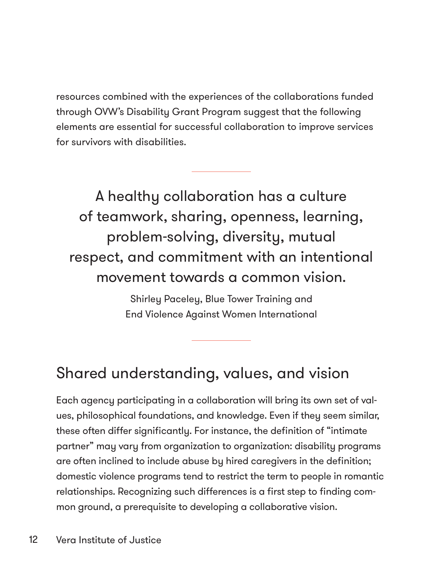resources combined with the experiences of the collaborations funded through OVW's Disability Grant Program suggest that the following elements are essential for successful collaboration to improve services for survivors with disabilities.

A healthy collaboration has a culture of teamwork, sharing, openness, learning, problem-solving, diversity, mutual respect, and commitment with an intentional movement towards a common vision.

> Shirley Paceley, Blue Tower Training and End Violence Against Women International

#### Shared understanding, values, and vision

Each agency participating in a collaboration will bring its own set of values, philosophical foundations, and knowledge. Even if they seem similar, these often differ significantly. For instance, the definition of "intimate partner" may vary from organization to organization: disability programs are often inclined to include abuse by hired caregivers in the definition; domestic violence programs tend to restrict the term to people in romantic relationships. Recognizing such differences is a first step to finding common ground, a prerequisite to developing a collaborative vision.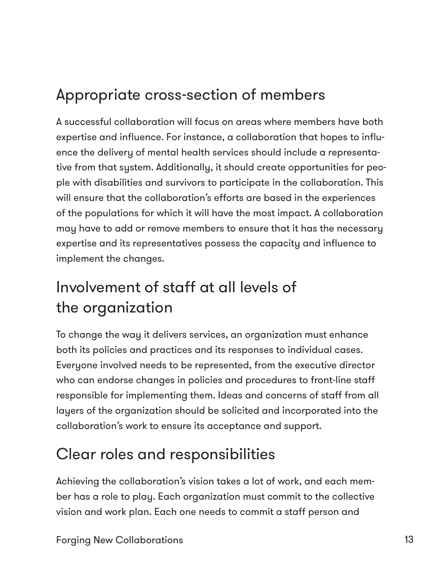# Appropriate cross-section of members

A successful collaboration will focus on areas where members have both expertise and influence. For instance, a collaboration that hopes to influence the delivery of mental health services should include a representative from that system. Additionally, it should create opportunities for people with disabilities and survivors to participate in the collaboration. This will ensure that the collaboration's efforts are based in the experiences of the populations for which it will have the most impact. A collaboration may have to add or remove members to ensure that it has the necessary expertise and its representatives possess the capacity and influence to implement the changes.

# Involvement of staff at all levels of the organization

To change the way it delivers services, an organization must enhance both its policies and practices and its responses to individual cases. Everyone involved needs to be represented, from the executive director who can endorse changes in policies and procedures to front-line staff responsible for implementing them. Ideas and concerns of staff from all layers of the organization should be solicited and incorporated into the collaboration's work to ensure its acceptance and support.

# Clear roles and responsibilities

Achieving the collaboration's vision takes a lot of work, and each member has a role to play. Each organization must commit to the collective vision and work plan. Each one needs to commit a staff person and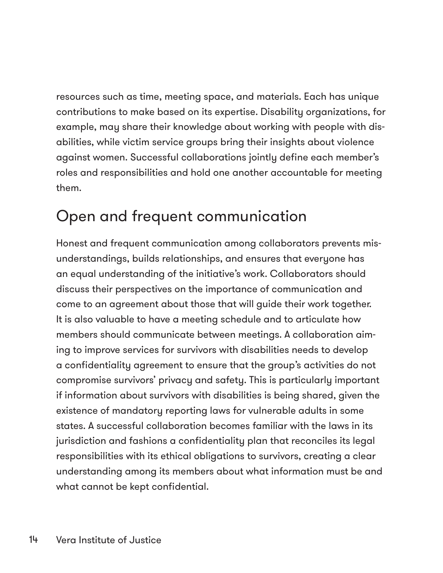resources such as time, meeting space, and materials. Each has unique contributions to make based on its expertise. Disability organizations, for example, may share their knowledge about working with people with disabilities, while victim service groups bring their insights about violence against women. Successful collaborations jointly define each member's roles and responsibilities and hold one another accountable for meeting them.

## Open and frequent communication

Honest and frequent communication among collaborators prevents misunderstandings, builds relationships, and ensures that everyone has an equal understanding of the initiative's work. Collaborators should discuss their perspectives on the importance of communication and come to an agreement about those that will guide their work together. It is also valuable to have a meeting schedule and to articulate how members should communicate between meetings. A collaboration aiming to improve services for survivors with disabilities needs to develop a confidentiality agreement to ensure that the group's activities do not compromise survivors' privacy and safety. This is particularly important if information about survivors with disabilities is being shared, given the existence of mandatory reporting laws for vulnerable adults in some states. A successful collaboration becomes familiar with the laws in its jurisdiction and fashions a confidentiality plan that reconciles its legal responsibilities with its ethical obligations to survivors, creating a clear understanding among its members about what information must be and what cannot be kept confidential.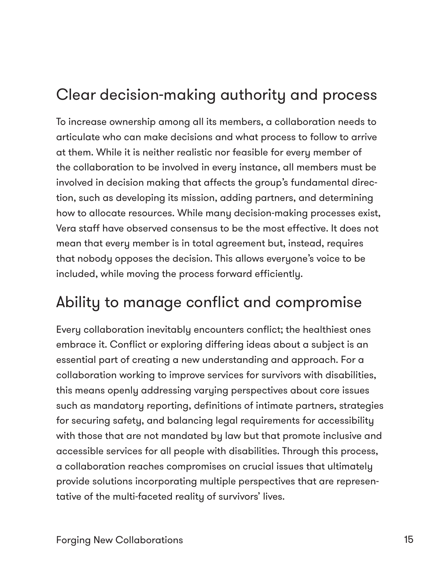# Clear decision-making authority and process

To increase ownership among all its members, a collaboration needs to articulate who can make decisions and what process to follow to arrive at them. While it is neither realistic nor feasible for every member of the collaboration to be involved in every instance, all members must be involved in decision making that affects the group's fundamental direction, such as developing its mission, adding partners, and determining how to allocate resources. While many decision-making processes exist, Vera staff have observed consensus to be the most effective. It does not mean that every member is in total agreement but, instead, requires that nobody opposes the decision. This allows everyone's voice to be included, while moving the process forward efficiently.

### Ability to manage conflict and compromise

Every collaboration inevitably encounters conflict; the healthiest ones embrace it. Conflict or exploring differing ideas about a subject is an essential part of creating a new understanding and approach. For a collaboration working to improve services for survivors with disabilities, this means openly addressing varying perspectives about core issues such as mandatory reporting, definitions of intimate partners, strategies for securing safety, and balancing legal requirements for accessibility with those that are not mandated by law but that promote inclusive and accessible services for all people with disabilities. Through this process, a collaboration reaches compromises on crucial issues that ultimately provide solutions incorporating multiple perspectives that are representative of the multi-faceted reality of survivors' lives.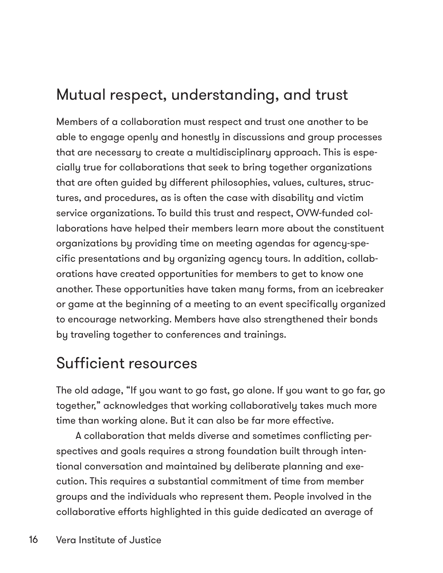## Mutual respect, understanding, and trust

Members of a collaboration must respect and trust one another to be able to engage openly and honestly in discussions and group processes that are necessary to create a multidisciplinary approach. This is especially true for collaborations that seek to bring together organizations that are often guided by different philosophies, values, cultures, structures, and procedures, as is often the case with disability and victim service organizations. To build this trust and respect, OVW-funded collaborations have helped their members learn more about the constituent organizations by providing time on meeting agendas for agency-specific presentations and by organizing agency tours. In addition, collaborations have created opportunities for members to get to know one another. These opportunities have taken many forms, from an icebreaker or game at the beginning of a meeting to an event specifically organized to encourage networking. Members have also strengthened their bonds by traveling together to conferences and trainings.

#### Sufficient resources

The old adage, "If you want to go fast, go alone. If you want to go far, go together," acknowledges that working collaboratively takes much more time than working alone. But it can also be far more effective.

A collaboration that melds diverse and sometimes conflicting perspectives and goals requires a strong foundation built through intentional conversation and maintained by deliberate planning and execution. This requires a substantial commitment of time from member groups and the individuals who represent them. People involved in the collaborative efforts highlighted in this guide dedicated an average of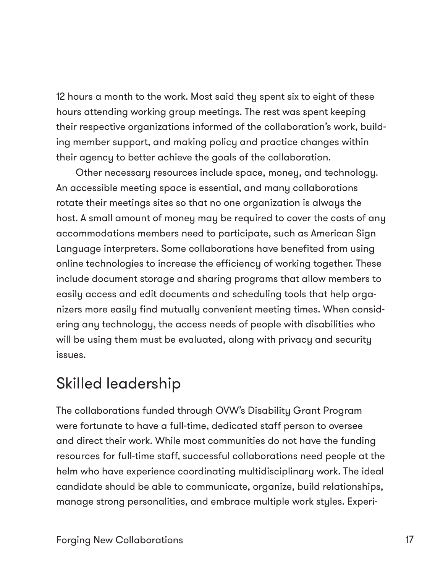12 hours a month to the work. Most said they spent six to eight of these hours attending working group meetings. The rest was spent keeping their respective organizations informed of the collaboration's work, building member support, and making policy and practice changes within their agency to better achieve the goals of the collaboration.

Other necessary resources include space, money, and technology. An accessible meeting space is essential, and many collaborations rotate their meetings sites so that no one organization is always the host. A small amount of money may be required to cover the costs of any accommodations members need to participate, such as American Sign Language interpreters. Some collaborations have benefited from using online technologies to increase the efficiency of working together. These include document storage and sharing programs that allow members to easily access and edit documents and scheduling tools that help organizers more easily find mutually convenient meeting times. When considering any technology, the access needs of people with disabilities who will be using them must be evaluated, along with privacy and security issues.

#### Skilled leadership

The collaborations funded through OVW's Disability Grant Program were fortunate to have a full-time, dedicated staff person to oversee and direct their work. While most communities do not have the funding resources for full-time staff, successful collaborations need people at the helm who have experience coordinating multidisciplinary work. The ideal candidate should be able to communicate, organize, build relationships, manage strong personalities, and embrace multiple work styles. Experi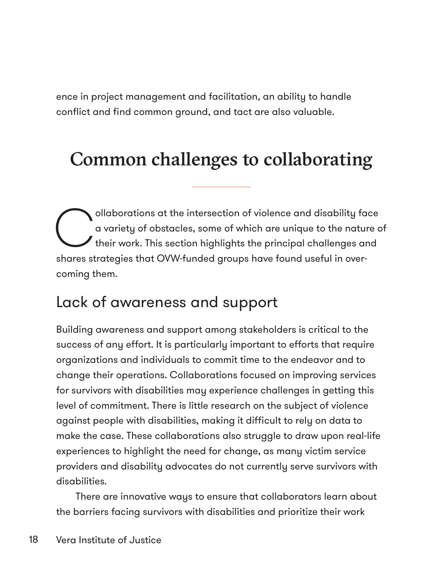ence in project management and facilitation, an ability to handle conflict and find common ground, and tact are also valuable.

# Common challenges to collaborating

ollaborations at the intersection of violence and disability face<br>
a variety of obstacles, some of which are unique to the nature of<br>
their work. This section highlights the principal challenges and a variety of obstacles, some of which are unique to the nature of their work. This section highlights the principal challenges and shares strategies that OVW-funded groups have found useful in overcoming them.

### Lack of awareness and support

Building awareness and support among stakeholders is critical to the success of any effort. It is particularly important to efforts that require organizations and individuals to commit time to the endeavor and to change their operations. Collaborations focused on improving services for survivors with disabilities may experience challenges in getting this level of commitment. There is little research on the subject of violence against people with disabilities, making it difficult to rely on data to make the case. These collaborations also struggle to draw upon real-life experiences to highlight the need for change, as many victim service providers and disability advocates do not currently serve survivors with disabilities.

There are innovative ways to ensure that collaborators learn about the barriers facing survivors with disabilities and prioritize their work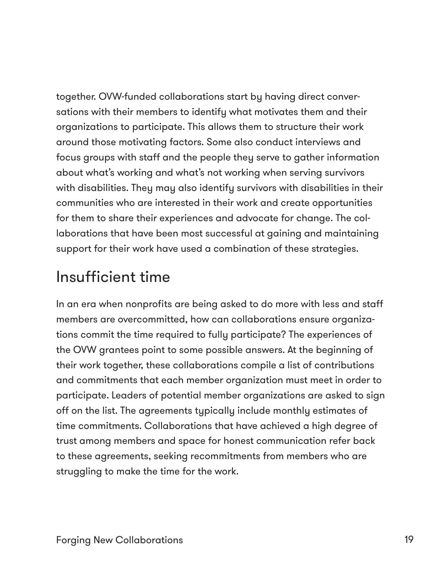together. OVW-funded collaborations start by having direct conversations with their members to identify what motivates them and their organizations to participate. This allows them to structure their work around those motivating factors. Some also conduct interviews and focus groups with staff and the people they serve to gather information about what's working and what's not working when serving survivors with disabilities. They may also identify survivors with disabilities in their communities who are interested in their work and create opportunities for them to share their experiences and advocate for change. The collaborations that have been most successful at gaining and maintaining support for their work have used a combination of these strategies.

#### Insufficient time

In an era when nonprofits are being asked to do more with less and staff members are overcommitted, how can collaborations ensure organizations commit the time required to fully participate? The experiences of the OVW grantees point to some possible answers. At the beginning of their work together, these collaborations compile a list of contributions and commitments that each member organization must meet in order to participate. Leaders of potential member organizations are asked to sign off on the list. The agreements typically include monthly estimates of time commitments. Collaborations that have achieved a high degree of trust among members and space for honest communication refer back to these agreements, seeking recommitments from members who are struggling to make the time for the work.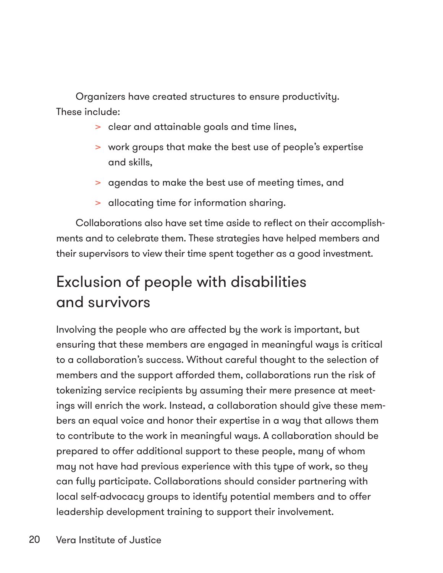Organizers have created structures to ensure productivity. These include:

- > clear and attainable goals and time lines,
- > work groups that make the best use of people's expertise and skills,
- > agendas to make the best use of meeting times, and
- > allocating time for information sharing.

Collaborations also have set time aside to reflect on their accomplishments and to celebrate them. These strategies have helped members and their supervisors to view their time spent together as a good investment.

# Exclusion of people with disabilities and survivors

Involving the people who are affected by the work is important, but ensuring that these members are engaged in meaningful ways is critical to a collaboration's success. Without careful thought to the selection of members and the support afforded them, collaborations run the risk of tokenizing service recipients by assuming their mere presence at meetings will enrich the work. Instead, a collaboration should give these members an equal voice and honor their expertise in a way that allows them to contribute to the work in meaningful ways. A collaboration should be prepared to offer additional support to these people, many of whom may not have had previous experience with this type of work, so they can fully participate. Collaborations should consider partnering with local self-advocacy groups to identify potential members and to offer leadership development training to support their involvement.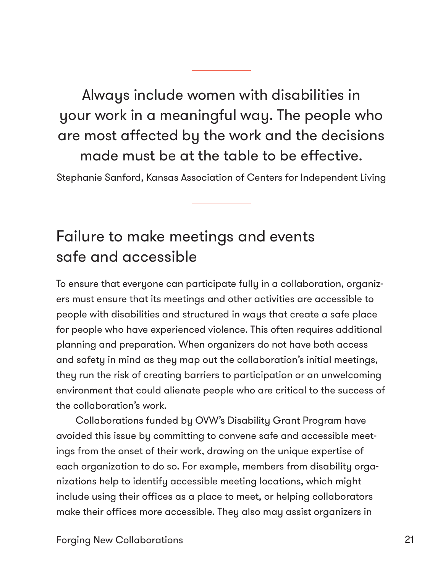Always include women with disabilities in your work in a meaningful way. The people who are most affected by the work and the decisions made must be at the table to be effective.

Stephanie Sanford, Kansas Association of Centers for Independent Living

# Failure to make meetings and events safe and accessible

To ensure that everyone can participate fully in a collaboration, organizers must ensure that its meetings and other activities are accessible to people with disabilities and structured in ways that create a safe place for people who have experienced violence. This often requires additional planning and preparation. When organizers do not have both access and safety in mind as they map out the collaboration's initial meetings, they run the risk of creating barriers to participation or an unwelcoming environment that could alienate people who are critical to the success of the collaboration's work.

Collaborations funded by OVW's Disability Grant Program have avoided this issue by committing to convene safe and accessible meetings from the onset of their work, drawing on the unique expertise of each organization to do so. For example, members from disability organizations help to identify accessible meeting locations, which might include using their offices as a place to meet, or helping collaborators make their offices more accessible. They also may assist organizers in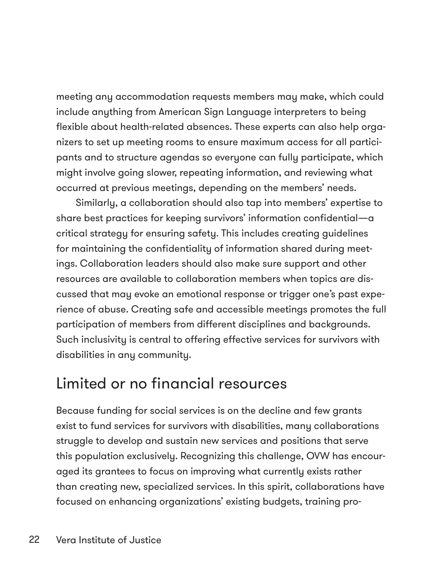meeting any accommodation requests members may make, which could include anything from American Sign Language interpreters to being flexible about health-related absences. These experts can also help organizers to set up meeting rooms to ensure maximum access for all participants and to structure agendas so everyone can fully participate, which might involve going slower, repeating information, and reviewing what occurred at previous meetings, depending on the members' needs.

Similarly, a collaboration should also tap into members' expertise to share best practices for keeping survivors' information confidential—a critical strategy for ensuring safety. This includes creating guidelines for maintaining the confidentiality of information shared during meetings. Collaboration leaders should also make sure support and other resources are available to collaboration members when topics are discussed that may evoke an emotional response or trigger one's past experience of abuse. Creating safe and accessible meetings promotes the full participation of members from different disciplines and backgrounds. Such inclusivity is central to offering effective services for survivors with disabilities in any community.

#### Limited or no financial resources

Because funding for social services is on the decline and few grants exist to fund services for survivors with disabilities, many collaborations struggle to develop and sustain new services and positions that serve this population exclusively. Recognizing this challenge, OVW has encouraged its grantees to focus on improving what currently exists rather than creating new, specialized services. In this spirit, collaborations have focused on enhancing organizations' existing budgets, training pro-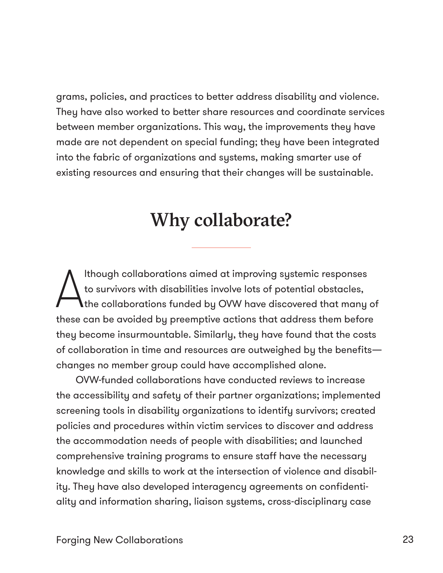grams, policies, and practices to better address disability and violence. They have also worked to better share resources and coordinate services between member organizations. This way, the improvements they have made are not dependent on special funding; they have been integrated into the fabric of organizations and systems, making smarter use of existing resources and ensuring that their changes will be sustainable.

### Why collaborate?

A lthough collaborations aimed at improving systemic responses to survivors with disabilities involve lots of potential obstacles, the collaborations funded by OVW have discovered that many of these can be avoided by preemptive actions that address them before they become insurmountable. Similarly, they have found that the costs of collaboration in time and resources are outweighed by the benefits changes no member group could have accomplished alone.

OVW-funded collaborations have conducted reviews to increase the accessibility and safety of their partner organizations; implemented screening tools in disability organizations to identify survivors; created policies and procedures within victim services to discover and address the accommodation needs of people with disabilities; and launched comprehensive training programs to ensure staff have the necessary knowledge and skills to work at the intersection of violence and disability. They have also developed interagency agreements on confidentiality and information sharing, liaison systems, cross-disciplinary case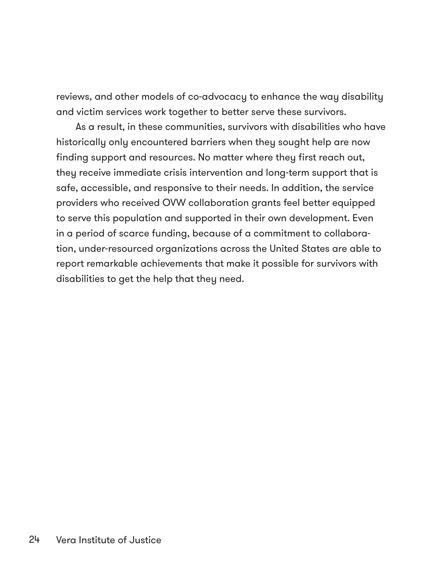reviews, and other models of co-advocacy to enhance the way disability and victim services work together to better serve these survivors.

As a result, in these communities, survivors with disabilities who have historically only encountered barriers when they sought help are now finding support and resources. No matter where they first reach out, they receive immediate crisis intervention and long-term support that is safe, accessible, and responsive to their needs. In addition, the service providers who received OVW collaboration grants feel better equipped to serve this population and supported in their own development. Even in a period of scarce funding, because of a commitment to collaboration, under-resourced organizations across the United States are able to report remarkable achievements that make it possible for survivors with disabilities to get the help that they need.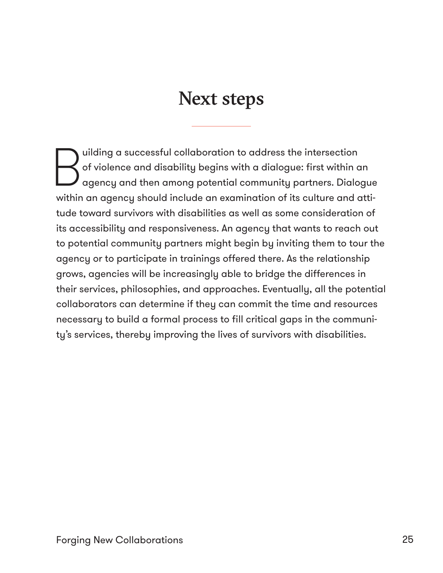# Next steps

Quilding a successful collaboration to address the intersection<br>of violence and disability begins with a dialogue: first within comparency and then among potential community partners. Dialo of violence and disability begins with a dialogue: first within an agency and then among potential community partners. Dialogue within an agency should include an examination of its culture and attitude toward survivors with disabilities as well as some consideration of its accessibility and responsiveness. An agency that wants to reach out to potential community partners might begin by inviting them to tour the agency or to participate in trainings offered there. As the relationship grows, agencies will be increasingly able to bridge the differences in their services, philosophies, and approaches. Eventually, all the potential collaborators can determine if they can commit the time and resources necessary to build a formal process to fill critical gaps in the community's services, thereby improving the lives of survivors with disabilities.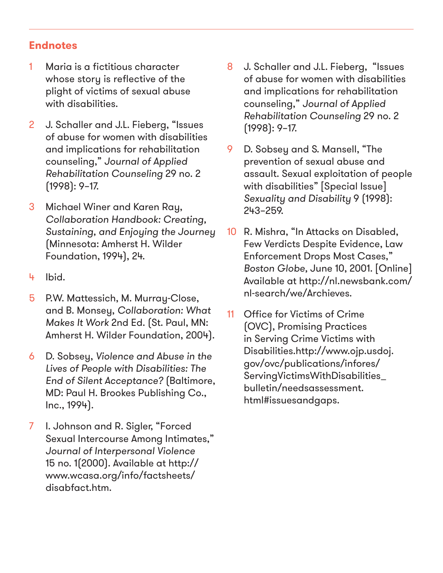#### **Endnotes**

- 1 Maria is a fictitious character whose story is reflective of the plight of victims of sexual abuse with disabilities.
- 2 J. Schaller and J.L. Fieberg, "Issues of abuse for women with disabilities and implications for rehabilitation counseling," Journal of Applied Rehabilitation Counseling 29 no. 2 (1998): 9–17.
- 3 Michael Winer and Karen Ray, Collaboration Handbook: Creating, Sustaining, and Enjoying the Journey (Minnesota: Amherst H. Wilder Foundation, 1994), 24.
- 4 Ibid.
- 5 P.W. Mattessich, M. Murray-Close, and B. Monsey, Collaboration: What Makes It Work 2nd Ed. (St. Paul, MN: Amherst H. Wilder Foundation, 2004).
- 6 D. Sobsey, Violence and Abuse in the Lives of People with Disabilities: The End of Silent Acceptance? (Baltimore, MD: Paul H. Brookes Publishing Co., Inc., 1994).
- 7 I. Johnson and R. Sigler, "Forced Sexual Intercourse Among Intimates," Journal of Interpersonal Violence 15 no. 1(2000). Available at http:// www.wcasa.org/info/factsheets/ disabfact.htm.
- 8 J. Schaller and J.L. Fieberg, "Issues of abuse for women with disabilities and implications for rehabilitation counseling," Journal of Applied Rehabilitation Counseling 29 no. 2 (1998): 9–17.
- 9 D. Sobsey and S. Mansell, "The prevention of sexual abuse and assault. Sexual exploitation of people with disabilities" [Special Issue] Sexuality and Disability 9 (1998): 243–259.
- 10 R. Mishra, "In Attacks on Disabled, Few Verdicts Despite Evidence, Law Enforcement Drops Most Cases," Boston Globe, June 10, 2001. [Online] Available at http://nl.newsbank.com/ nl-search/we/Archieves.
- 11 Office for Victims of Crime (OVC), Promising Practices in Serving Crime Victims with Disabilities.http://www.ojp.usdoj. gov/ovc/publications/infores/ ServingVictimsWithDisabilities\_ bulletin/needsassessment. html#issuesandgaps.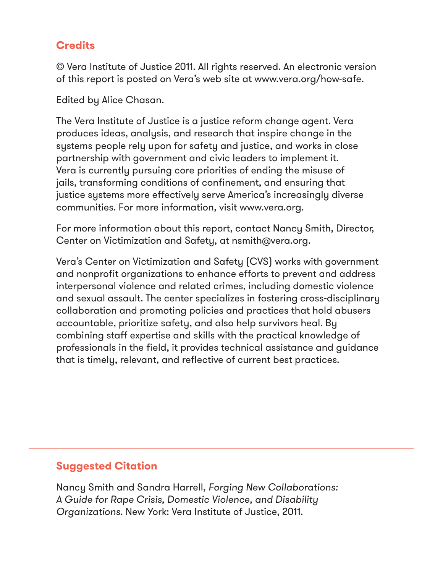#### **Credits**

© Vera Institute of Justice 2011. All rights reserved. An electronic version of this report is posted on Vera's web site at www.vera.org/how-safe.

Edited by Alice Chasan.

The Vera Institute of Justice is a justice reform change agent. Vera produces ideas, analysis, and research that inspire change in the systems people rely upon for safety and justice, and works in close partnership with government and civic leaders to implement it. Vera is currently pursuing core priorities of ending the misuse of jails, transforming conditions of confinement, and ensuring that justice systems more effectively serve America's increasingly diverse communities. For more information, visit www.vera.org.

For more information about this report, contact Nancy Smith, Director, Center on Victimization and Safety, at nsmith@vera.org.

Vera's Center on Victimization and Safety (CVS) works with government and nonprofit organizations to enhance efforts to prevent and address interpersonal violence and related crimes, including domestic violence and sexual assault. The center specializes in fostering cross-disciplinary collaboration and promoting policies and practices that hold abusers accountable, prioritize safety, and also help survivors heal. By combining staff expertise and skills with the practical knowledge of professionals in the field, it provides technical assistance and guidance that is timely, relevant, and reflective of current best practices.

#### **Suggested Citation**

Nancy Smith and Sandra Harrell, Forging New Collaborations: A Guide for Rape Crisis, Domestic Violence, and Disability Organizations. New York: Vera Institute of Justice, 2011.